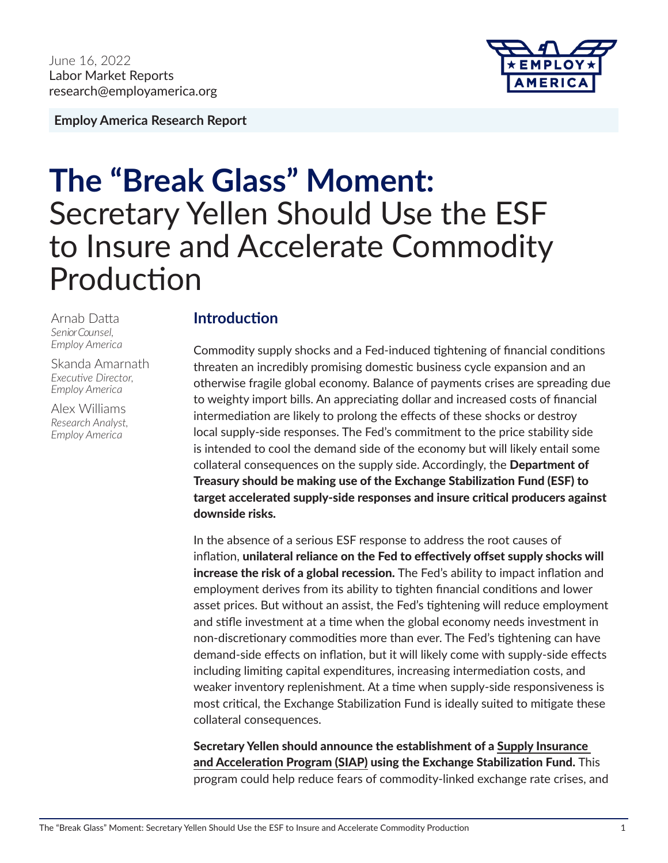**Employ America Research Report**



# **The "Break Glass" Moment:**  Secretary Yellen Should Use the ESF to Insure and Accelerate Commodity Production

Arnab Datta *Senior Counsel, Employ America* 

Skanda Amarnath *Executive Director, Employ America* 

Alex Williams *Research Analyst, Employ America* 

## **Introduction**

Commodity supply shocks and a Fed-induced tightening of financial conditions threaten an incredibly promising domestic business cycle expansion and an otherwise fragile global economy. Balance of payments crises are spreading due to weighty import bills. An appreciating dollar and increased costs of financial intermediation are likely to prolong the effects of these shocks or destroy local supply-side responses. The Fed's commitment to the price stability side is intended to cool the demand side of the economy but will likely entail some collateral consequences on the supply side. Accordingly, the Department of Treasury should be making use of the Exchange Stabilization Fund (ESF) to target accelerated supply-side responses and insure critical producers against downside risks.

In the absence of a serious ESF response to address the root causes of inflation, unilateral reliance on the Fed to effectively offset supply shocks will increase the risk of a global recession. The Fed's ability to impact inflation and employment derives from its ability to tighten financial conditions and lower asset prices. But without an assist, the Fed's tightening will reduce employment and stifle investment at a time when the global economy needs investment in non-discretionary commodities more than ever. The Fed's tightening can have demand-side effects on inflation, but it will likely come with supply-side effects including limiting capital expenditures, increasing intermediation costs, and weaker inventory replenishment. At a time when supply-side responsiveness is most critical, the Exchange Stabilization Fund is ideally suited to mitigate these collateral consequences.

Secretary Yellen should announce the establishment of a Supply Insurance and Acceleration Program (SIAP) using the Exchange Stabilization Fund. This program could help reduce fears of commodity-linked exchange rate crises, and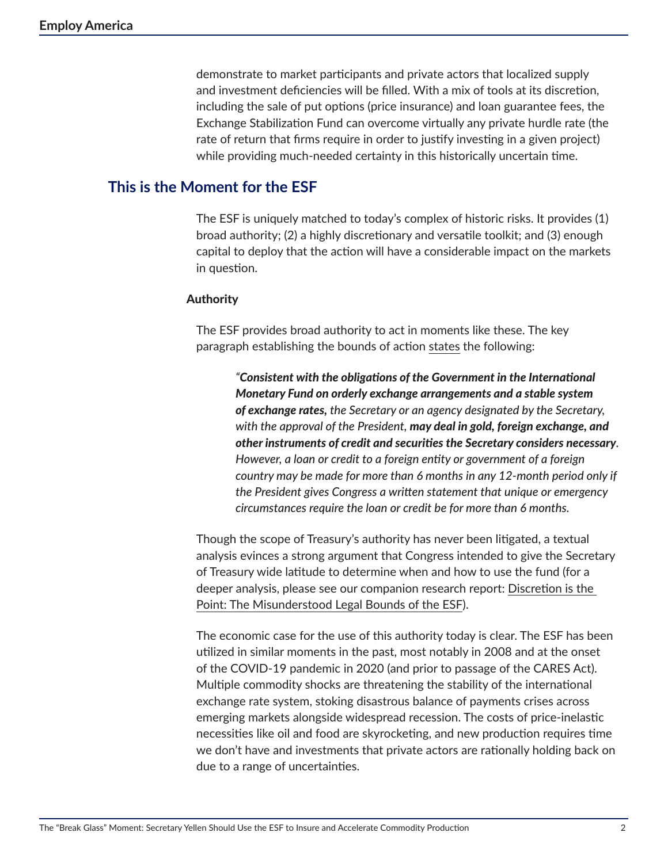demonstrate to market participants and private actors that localized supply and investment deficiencies will be filled. With a mix of tools at its discretion, including the sale of put options (price insurance) and loan guarantee fees, the Exchange Stabilization Fund can overcome virtually any private hurdle rate (the rate of return that firms require in order to justify investing in a given project) while providing much-needed certainty in this historically uncertain time.

## **This is the Moment for the ESF**

The ESF is uniquely matched to today's complex of historic risks. It provides (1) broad authority; (2) a highly discretionary and versatile toolkit; and (3) enough capital to deploy that the action will have a considerable impact on the markets in question.

#### Authority

The ESF provides broad authority to act in moments like these. The key paragraph establishing the bounds of action states the following:

> *"Consistent with the obligations of the Government in the International Monetary Fund on orderly exchange arrangements and a stable system of exchange rates, the Secretary or an agency designated by the Secretary, with the approval of the President, may deal in gold, foreign exchange, and other instruments of credit and securities the Secretary considers necessary. However, a loan or credit to a foreign entity or government of a foreign country may be made for more than 6 months in any 12-month period only if the President gives Congress a written statement that unique or emergency circumstances require the loan or credit be for more than 6 months.*

Though the scope of Treasury's authority has never been litigated, a textual analysis evinces a strong argument that Congress intended to give the Secretary of Treasury wide latitude to determine when and how to use the fund (for a deeper analysis, please see our companion research report: Discretion is the Point: The Misunderstood Legal Bounds of the ESF).

The economic case for the use of this authority today is clear. The ESF has been utilized in similar moments in the past, most notably in 2008 and at the onset of the COVID-19 pandemic in 2020 (and prior to passage of the CARES Act). Multiple commodity shocks are threatening the stability of the international exchange rate system, stoking disastrous balance of payments crises across emerging markets alongside widespread recession. The costs of price-inelastic necessities like oil and food are skyrocketing, and new production requires time we don't have and investments that private actors are rationally holding back on due to a range of uncertainties.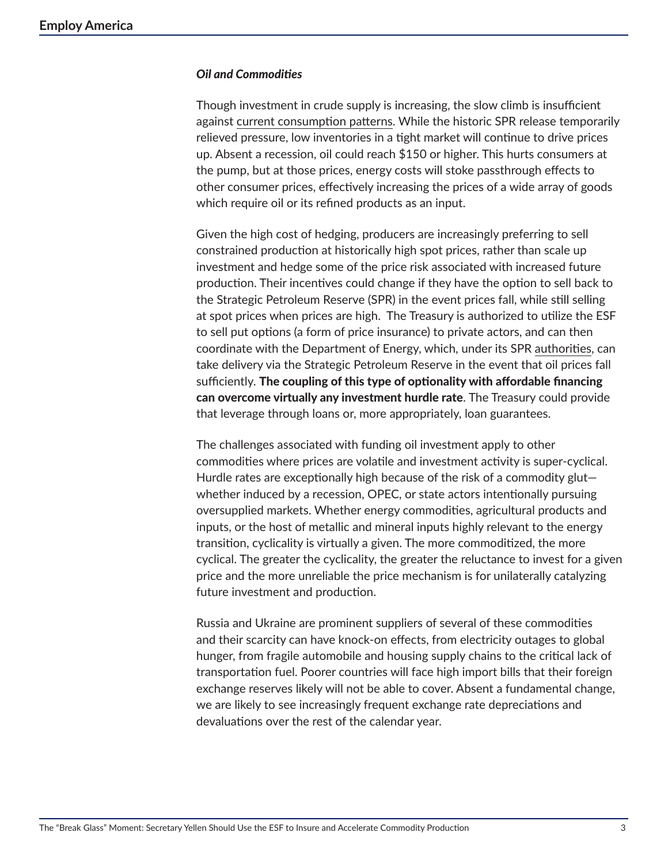#### *Oil and Commodities*

Though investment in crude supply is increasing, the slow climb is insufficient against current consumption patterns. While the historic SPR release temporarily relieved pressure, low inventories in a tight market will continue to drive prices up. Absent a recession, oil could reach \$150 or higher. This hurts consumers at the pump, but at those prices, energy costs will stoke passthrough effects to other consumer prices, effectively increasing the prices of a wide array of goods which require oil or its refined products as an input.

Given the high cost of hedging, producers are increasingly preferring to sell constrained production at historically high spot prices, rather than scale up investment and hedge some of the price risk associated with increased future production. Their incentives could change if they have the option to sell back to the Strategic Petroleum Reserve (SPR) in the event prices fall, while still selling at spot prices when prices are high. The Treasury is authorized to utilize the ESF to sell put options (a form of price insurance) to private actors, and can then coordinate with the Department of Energy, which, under its SPR authorities, can take delivery via the Strategic Petroleum Reserve in the event that oil prices fall sufficiently. The coupling of this type of optionality with affordable financing can overcome virtually any investment hurdle rate. The Treasury could provide that leverage through loans or, more appropriately, loan guarantees.

The challenges associated with funding oil investment apply to other commodities where prices are volatile and investment activity is super-cyclical. Hurdle rates are exceptionally high because of the risk of a commodity glut whether induced by a recession, OPEC, or state actors intentionally pursuing oversupplied markets. Whether energy commodities, agricultural products and inputs, or the host of metallic and mineral inputs highly relevant to the energy transition, cyclicality is virtually a given. The more commoditized, the more cyclical. The greater the cyclicality, the greater the reluctance to invest for a given price and the more unreliable the price mechanism is for unilaterally catalyzing future investment and production.

Russia and Ukraine are prominent suppliers of several of these commodities and their scarcity can have knock-on effects, from electricity outages to global hunger, from fragile automobile and housing supply chains to the critical lack of transportation fuel. Poorer countries will face high import bills that their foreign exchange reserves likely will not be able to cover. Absent a fundamental change, we are likely to see increasingly frequent exchange rate depreciations and devaluations over the rest of the calendar year.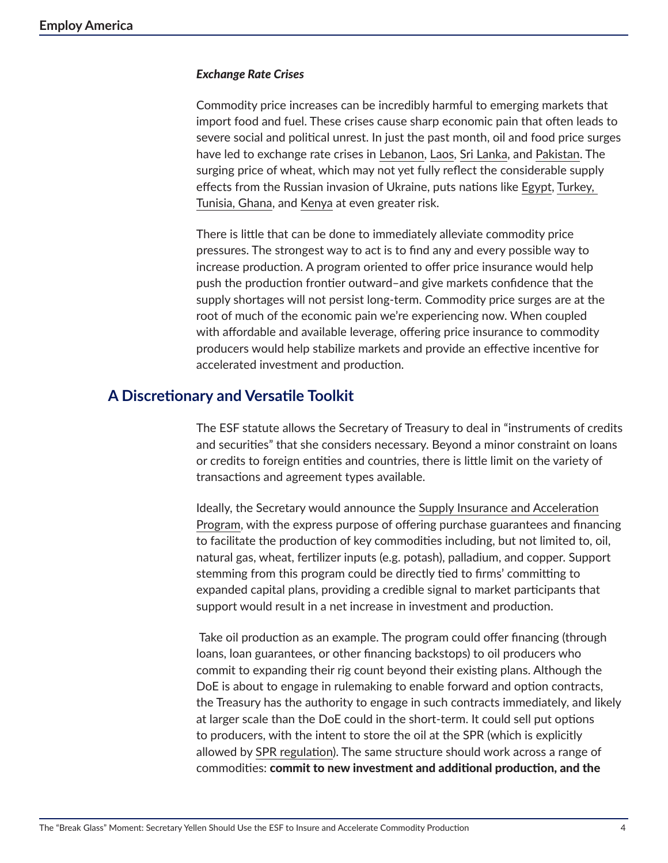#### *Exchange Rate Crises*

Commodity price increases can be incredibly harmful to emerging markets that import food and fuel. These crises cause sharp economic pain that often leads to severe social and political unrest. In just the past month, oil and food price surges have led to exchange rate crises in Lebanon, Laos, Sri Lanka, and Pakistan. The surging price of wheat, which may not yet fully reflect the considerable supply effects from the Russian invasion of Ukraine, puts nations like Egypt, Turkey, Tunisia, Ghana, and Kenya at even greater risk.

There is little that can be done to immediately alleviate commodity price pressures. The strongest way to act is to find any and every possible way to increase production. A program oriented to offer price insurance would help push the production frontier outward–and give markets confidence that the supply shortages will not persist long-term. Commodity price surges are at the root of much of the economic pain we're experiencing now. When coupled with affordable and available leverage, offering price insurance to commodity producers would help stabilize markets and provide an effective incentive for accelerated investment and production.

### **A Discretionary and Versatile Toolkit**

The ESF statute allows the Secretary of Treasury to deal in "instruments of credits and securities" that she considers necessary. Beyond a minor constraint on loans or credits to foreign entities and countries, there is little limit on the variety of transactions and agreement types available.

Ideally, the Secretary would announce the Supply Insurance and Acceleration Program, with the express purpose of offering purchase guarantees and financing to facilitate the production of key commodities including, but not limited to, oil, natural gas, wheat, fertilizer inputs (e.g. potash), palladium, and copper. Support stemming from this program could be directly tied to firms' committing to expanded capital plans, providing a credible signal to market participants that support would result in a net increase in investment and production.

 Take oil production as an example. The program could offer financing (through loans, loan guarantees, or other financing backstops) to oil producers who commit to expanding their rig count beyond their existing plans. Although the DoE is about to engage in rulemaking to enable forward and option contracts, the Treasury has the authority to engage in such contracts immediately, and likely at larger scale than the DoE could in the short-term. It could sell put options to producers, with the intent to store the oil at the SPR (which is explicitly allowed by SPR regulation). The same structure should work across a range of commodities: commit to new investment and additional production, and the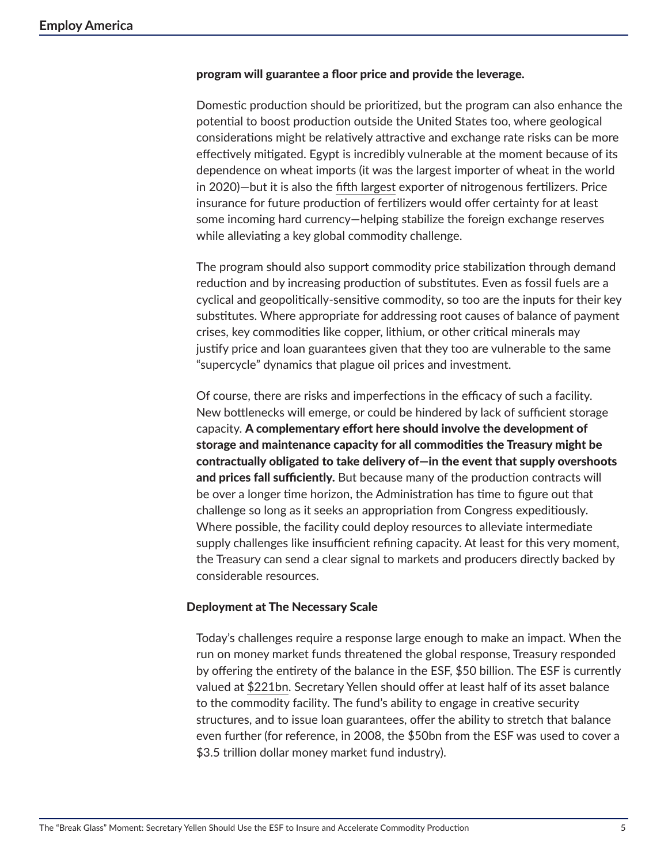#### program will guarantee a floor price and provide the leverage.

Domestic production should be prioritized, but the program can also enhance the potential to boost production outside the United States too, where geological considerations might be relatively attractive and exchange rate risks can be more effectively mitigated. Egypt is incredibly vulnerable at the moment because of its dependence on wheat imports (it was the largest importer of wheat in the world in 2020)—but it is also the fifth largest exporter of nitrogenous fertilizers. Price insurance for future production of fertilizers would offer certainty for at least some incoming hard currency—helping stabilize the foreign exchange reserves while alleviating a key global commodity challenge.

The program should also support commodity price stabilization through demand reduction and by increasing production of substitutes. Even as fossil fuels are a cyclical and geopolitically-sensitive commodity, so too are the inputs for their key substitutes. Where appropriate for addressing root causes of balance of payment crises, key commodities like copper, lithium, or other critical minerals may justify price and loan guarantees given that they too are vulnerable to the same "supercycle" dynamics that plague oil prices and investment.

Of course, there are risks and imperfections in the efficacy of such a facility. New bottlenecks will emerge, or could be hindered by lack of sufficient storage capacity. A complementary effort here should involve the development of storage and maintenance capacity for all commodities the Treasury might be contractually obligated to take delivery of—in the event that supply overshoots and prices fall sufficiently. But because many of the production contracts will be over a longer time horizon, the Administration has time to figure out that challenge so long as it seeks an appropriation from Congress expeditiously. Where possible, the facility could deploy resources to alleviate intermediate supply challenges like insufficient refining capacity. At least for this very moment, the Treasury can send a clear signal to markets and producers directly backed by considerable resources.

#### Deployment at The Necessary Scale

Today's challenges require a response large enough to make an impact. When the run on money market funds threatened the global response, Treasury responded by offering the entirety of the balance in the ESF, \$50 billion. The ESF is currently valued at \$221bn. Secretary Yellen should offer at least half of its asset balance to the commodity facility. The fund's ability to engage in creative security structures, and to issue loan guarantees, offer the ability to stretch that balance even further (for reference, in 2008, the \$50bn from the ESF was used to cover a \$3.5 trillion dollar money market fund industry).